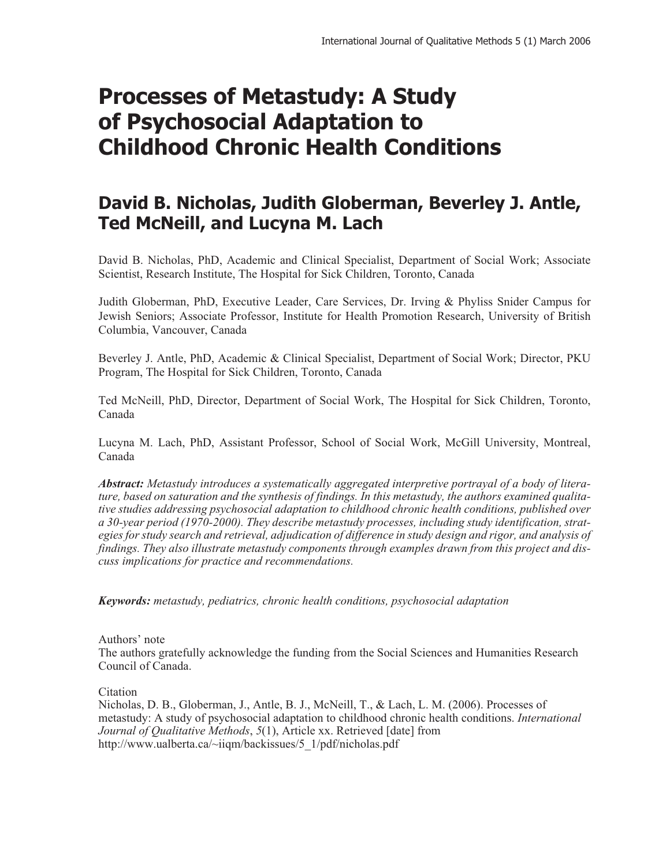# **Processes of Metastudy: A Study of Psychosocial Adaptation to Childhood Chronic Health Conditions**

# **David B. Nicholas, Judith Globerman, Beverley J. Antle, Ted McNeill, and Lucyna M. Lach**

David B. Nicholas, PhD, Academic and Clinical Specialist, Department of Social Work; Associate Scientist, Research Institute, The Hospital for Sick Children, Toronto, Canada

Judith Globerman, PhD, Executive Leader, Care Services, Dr. Irving & Phyliss Snider Campus for Jewish Seniors; Associate Professor, Institute for Health Promotion Research, University of British Columbia, Vancouver, Canada

Beverley J. Antle, PhD, Academic & Clinical Specialist, Department of Social Work; Director, PKU Program, The Hospital for Sick Children, Toronto, Canada

Ted McNeill, PhD, Director, Department of Social Work, The Hospital for Sick Children, Toronto, Canada

Lucyna M. Lach, PhD, Assistant Professor, School of Social Work, McGill University, Montreal, Canada

*Abstract: Metastudy introduces a systematically aggregated interpretive portrayal of a body of literature, based on saturation and the synthesis of findings. In this metastudy, the authors examined qualitative studies addressing psychosocial adaptation to childhood chronic health conditions, published over a 30-year period (1970-2000). They describe metastudy processes, including study identification, strategies for study search and retrieval, adjudication of difference in study design and rigor, and analysis of findings. They also illustrate metastudy components through examples drawn from this project and discuss implications for practice and recommendations.*

*Keywords: metastudy, pediatrics, chronic health conditions, psychosocial adaptation*

Authors' note

The authors gratefully acknowledge the funding from the Social Sciences and Humanities Research Council of Canada.

Citation

Nicholas, D. B., Globerman, J., Antle, B. J., McNeill, T., & Lach, L. M. (2006). Processes of metastudy: A study of psychosocial adaptation to childhood chronic health conditions. *International Journal of Qualitative Methods*, *5*(1), Article xx. Retrieved [date] from http://www.ualberta.ca/~iiqm/backissues/5\_1/pdf/nicholas.pdf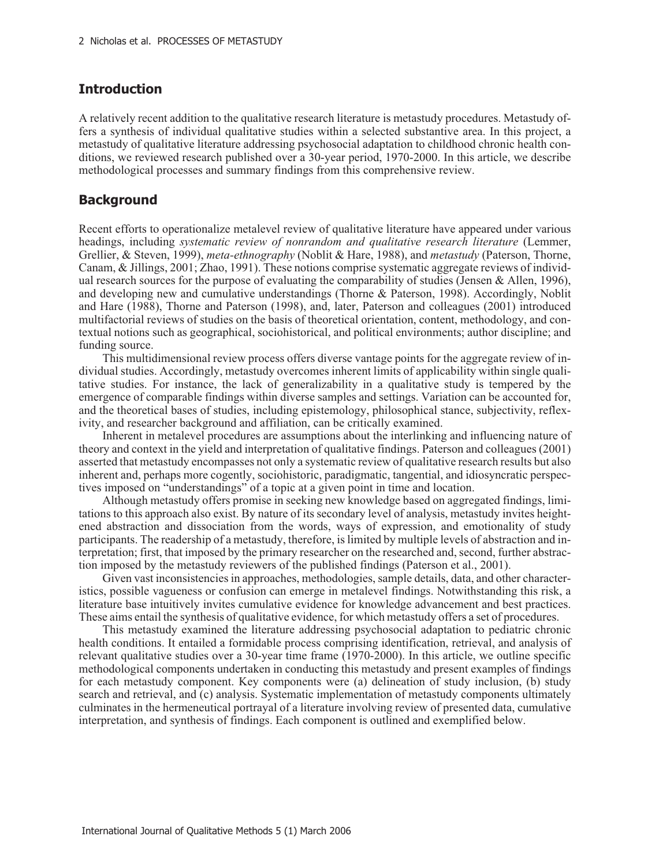# **Introduction**

A relatively recent addition to the qualitative research literature is metastudy procedures. Metastudy offers a synthesis of individual qualitative studies within a selected substantive area. In this project, a metastudy of qualitative literature addressing psychosocial adaptation to childhood chronic health conditions, we reviewed research published over a 30-year period, 1970-2000. In this article, we describe methodological processes and summary findings from this comprehensive review.

# **Background**

Recent efforts to operationalize metalevel review of qualitative literature have appeared under various headings, including *systematic review of nonrandom and qualitative research literature* (Lemmer, Grellier, & Steven, 1999), *meta-ethnography* (Noblit & Hare, 1988), and *metastudy* (Paterson, Thorne, Canam, & Jillings, 2001; Zhao, 1991). These notions comprise systematic aggregate reviews of individual research sources for the purpose of evaluating the comparability of studies (Jensen & Allen, 1996), and developing new and cumulative understandings (Thorne & Paterson, 1998). Accordingly, Noblit and Hare (1988), Thorne and Paterson (1998), and, later, Paterson and colleagues (2001) introduced multifactorial reviews of studies on the basis of theoretical orientation, content, methodology, and contextual notions such as geographical, sociohistorical, and political environments; author discipline; and funding source.

This multidimensional review process offers diverse vantage points for the aggregate review of individual studies. Accordingly, metastudy overcomes inherent limits of applicability within single qualitative studies. For instance, the lack of generalizability in a qualitative study is tempered by the emergence of comparable findings within diverse samples and settings. Variation can be accounted for, and the theoretical bases of studies, including epistemology, philosophical stance, subjectivity, reflexivity, and researcher background and affiliation, can be critically examined.

Inherent in metalevel procedures are assumptions about the interlinking and influencing nature of theory and context in the yield and interpretation of qualitative findings. Paterson and colleagues (2001) asserted that metastudy encompasses not only a systematic review of qualitative research results but also inherent and, perhaps more cogently, sociohistoric, paradigmatic, tangential, and idiosyncratic perspectives imposed on "understandings" of a topic at a given point in time and location.

Although metastudy offers promise in seeking new knowledge based on aggregated findings, limitations to this approach also exist. By nature of its secondary level of analysis, metastudy invites heightened abstraction and dissociation from the words, ways of expression, and emotionality of study participants. The readership of a metastudy, therefore, is limited by multiple levels of abstraction and interpretation; first, that imposed by the primary researcher on the researched and, second, further abstraction imposed by the metastudy reviewers of the published findings (Paterson et al., 2001).

Given vast inconsistencies in approaches, methodologies, sample details, data, and other characteristics, possible vagueness or confusion can emerge in metalevel findings. Notwithstanding this risk, a literature base intuitively invites cumulative evidence for knowledge advancement and best practices. These aims entail the synthesis of qualitative evidence, for which metastudy offers a set of procedures.

This metastudy examined the literature addressing psychosocial adaptation to pediatric chronic health conditions. It entailed a formidable process comprising identification, retrieval, and analysis of relevant qualitative studies over a 30-year time frame (1970-2000). In this article, we outline specific methodological components undertaken in conducting this metastudy and present examples of findings for each metastudy component. Key components were (a) delineation of study inclusion, (b) study search and retrieval, and (c) analysis. Systematic implementation of metastudy components ultimately culminates in the hermeneutical portrayal of a literature involving review of presented data, cumulative interpretation, and synthesis of findings. Each component is outlined and exemplified below.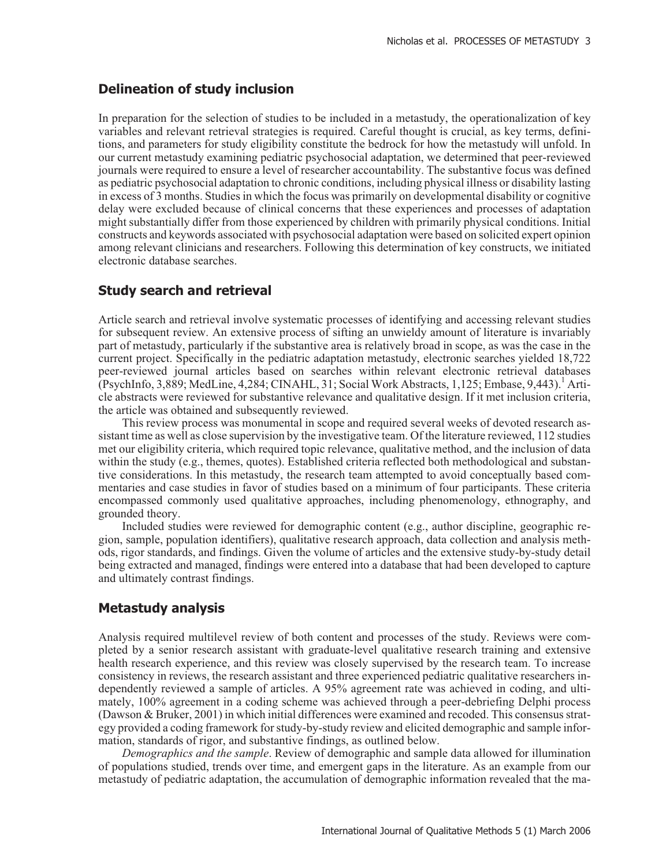## **Delineation of study inclusion**

In preparation for the selection of studies to be included in a metastudy, the operationalization of key variables and relevant retrieval strategies is required. Careful thought is crucial, as key terms, definitions, and parameters for study eligibility constitute the bedrock for how the metastudy will unfold. In our current metastudy examining pediatric psychosocial adaptation, we determined that peer-reviewed journals were required to ensure a level of researcher accountability. The substantive focus was defined as pediatric psychosocial adaptation to chronic conditions, including physical illness or disability lasting in excess of 3 months. Studies in which the focus was primarily on developmental disability or cognitive delay were excluded because of clinical concerns that these experiences and processes of adaptation might substantially differ from those experienced by children with primarily physical conditions. Initial constructs and keywords associated with psychosocial adaptation were based on solicited expert opinion among relevant clinicians and researchers. Following this determination of key constructs, we initiated electronic database searches.

# **Study search and retrieval**

Article search and retrieval involve systematic processes of identifying and accessing relevant studies for subsequent review. An extensive process of sifting an unwieldy amount of literature is invariably part of metastudy, particularly if the substantive area is relatively broad in scope, as was the case in the current project. Specifically in the pediatric adaptation metastudy, electronic searches yielded 18,722 peer-reviewed journal articles based on searches within relevant electronic retrieval databases (PsychInfo, 3,889; MedLine, 4,284; CINAHL, 31; Social Work Abstracts, 1,125; Embase, 9,443).<sup>1</sup> Article abstracts were reviewed for substantive relevance and qualitative design. If it met inclusion criteria, the article was obtained and subsequently reviewed.

This review process was monumental in scope and required several weeks of devoted research assistant time as well as close supervision by the investigative team. Of the literature reviewed, 112 studies met our eligibility criteria, which required topic relevance, qualitative method, and the inclusion of data within the study (e.g., themes, quotes). Established criteria reflected both methodological and substantive considerations. In this metastudy, the research team attempted to avoid conceptually based commentaries and case studies in favor of studies based on a minimum of four participants. These criteria encompassed commonly used qualitative approaches, including phenomenology, ethnography, and grounded theory.

Included studies were reviewed for demographic content (e.g., author discipline, geographic region, sample, population identifiers), qualitative research approach, data collection and analysis methods, rigor standards, and findings. Given the volume of articles and the extensive study-by-study detail being extracted and managed, findings were entered into a database that had been developed to capture and ultimately contrast findings.

# **Metastudy analysis**

Analysis required multilevel review of both content and processes of the study. Reviews were completed by a senior research assistant with graduate-level qualitative research training and extensive health research experience, and this review was closely supervised by the research team. To increase consistency in reviews, the research assistant and three experienced pediatric qualitative researchers independently reviewed a sample of articles. A 95% agreement rate was achieved in coding, and ultimately, 100% agreement in a coding scheme was achieved through a peer-debriefing Delphi process (Dawson & Bruker, 2001) in which initial differences were examined and recoded. This consensus strategy provided a coding framework for study-by-study review and elicited demographic and sample information, standards of rigor, and substantive findings, as outlined below.

*Demographics and the sample*. Review of demographic and sample data allowed for illumination of populations studied, trends over time, and emergent gaps in the literature. As an example from our metastudy of pediatric adaptation, the accumulation of demographic information revealed that the ma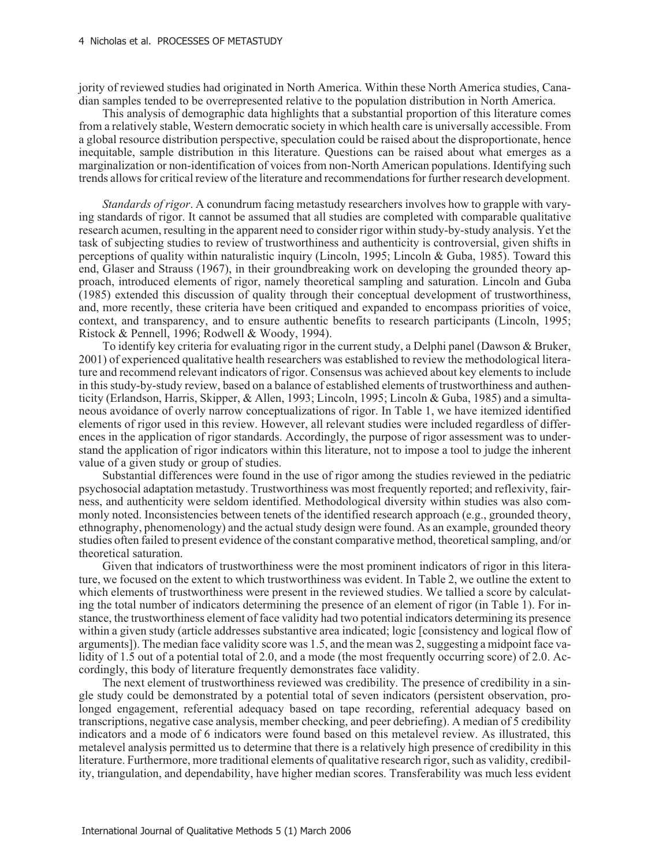jority of reviewed studies had originated in North America. Within these North America studies, Canadian samples tended to be overrepresented relative to the population distribution in North America.

This analysis of demographic data highlights that a substantial proportion of this literature comes from a relatively stable, Western democratic society in which health care is universally accessible. From a global resource distribution perspective, speculation could be raised about the disproportionate, hence inequitable, sample distribution in this literature. Questions can be raised about what emerges as a marginalization or non-identification of voices from non-North American populations. Identifying such trends allows for critical review of the literature and recommendations for further research development.

*Standards of rigor*. A conundrum facing metastudy researchers involves how to grapple with varying standards of rigor. It cannot be assumed that all studies are completed with comparable qualitative research acumen, resulting in the apparent need to consider rigor within study-by-study analysis. Yet the task of subjecting studies to review of trustworthiness and authenticity is controversial, given shifts in perceptions of quality within naturalistic inquiry (Lincoln, 1995; Lincoln & Guba, 1985). Toward this end, Glaser and Strauss (1967), in their groundbreaking work on developing the grounded theory approach, introduced elements of rigor, namely theoretical sampling and saturation. Lincoln and Guba (1985) extended this discussion of quality through their conceptual development of trustworthiness, and, more recently, these criteria have been critiqued and expanded to encompass priorities of voice, context, and transparency, and to ensure authentic benefits to research participants (Lincoln, 1995; Ristock & Pennell, 1996; Rodwell & Woody, 1994).

To identify key criteria for evaluating rigor in the current study, a Delphi panel (Dawson & Bruker, 2001) of experienced qualitative health researchers was established to review the methodological literature and recommend relevant indicators of rigor. Consensus was achieved about key elements to include in this study-by-study review, based on a balance of established elements of trustworthiness and authenticity (Erlandson, Harris, Skipper, & Allen, 1993; Lincoln, 1995; Lincoln & Guba, 1985) and a simultaneous avoidance of overly narrow conceptualizations of rigor. In Table 1, we have itemized identified elements of rigor used in this review. However, all relevant studies were included regardless of differences in the application of rigor standards. Accordingly, the purpose of rigor assessment was to understand the application of rigor indicators within this literature, not to impose a tool to judge the inherent value of a given study or group of studies.

Substantial differences were found in the use of rigor among the studies reviewed in the pediatric psychosocial adaptation metastudy. Trustworthiness was most frequently reported; and reflexivity, fairness, and authenticity were seldom identified. Methodological diversity within studies was also commonly noted. Inconsistencies between tenets of the identified research approach (e.g., grounded theory, ethnography, phenomenology) and the actual study design were found. As an example, grounded theory studies often failed to present evidence of the constant comparative method, theoretical sampling, and/or theoretical saturation.

Given that indicators of trustworthiness were the most prominent indicators of rigor in this literature, we focused on the extent to which trustworthiness was evident. In Table 2, we outline the extent to which elements of trustworthiness were present in the reviewed studies. We tallied a score by calculating the total number of indicators determining the presence of an element of rigor (in Table 1). For instance, the trustworthiness element of face validity had two potential indicators determining its presence within a given study (article addresses substantive area indicated; logic [consistency and logical flow of arguments]). The median face validity score was 1.5, and the mean was 2, suggesting a midpoint face validity of 1.5 out of a potential total of 2.0, and a mode (the most frequently occurring score) of 2.0. Accordingly, this body of literature frequently demonstrates face validity.

The next element of trustworthiness reviewed was credibility. The presence of credibility in a single study could be demonstrated by a potential total of seven indicators (persistent observation, prolonged engagement, referential adequacy based on tape recording, referential adequacy based on transcriptions, negative case analysis, member checking, and peer debriefing). A median of 5 credibility indicators and a mode of 6 indicators were found based on this metalevel review. As illustrated, this metalevel analysis permitted us to determine that there is a relatively high presence of credibility in this literature. Furthermore, more traditional elements of qualitative research rigor, such as validity, credibility, triangulation, and dependability, have higher median scores. Transferability was much less evident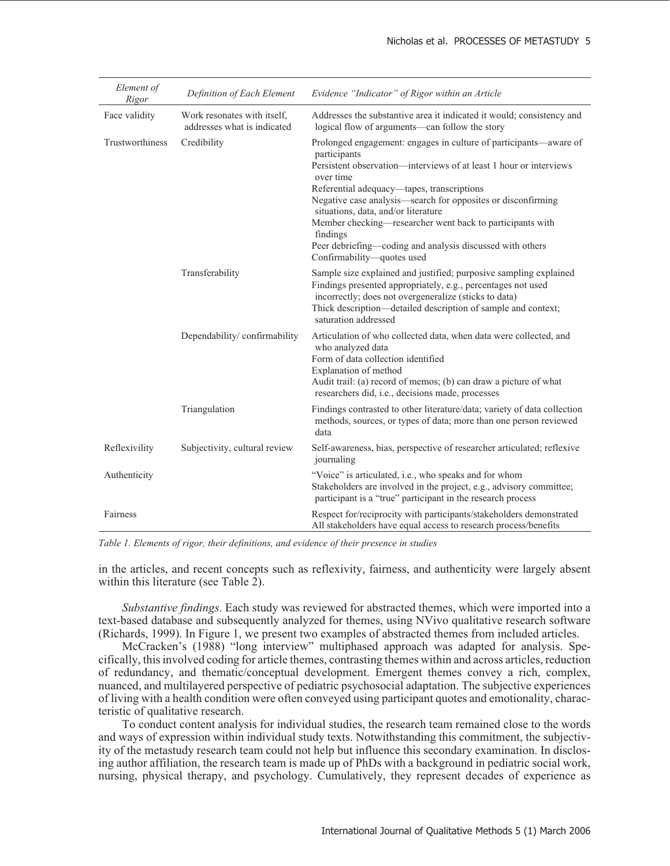| Element of<br>Rigor | Definition of Each Element                                 | Evidence "Indicator" of Rigor within an Article                                                                                                                                                                                                                                                                                                                                                                                                                                               |
|---------------------|------------------------------------------------------------|-----------------------------------------------------------------------------------------------------------------------------------------------------------------------------------------------------------------------------------------------------------------------------------------------------------------------------------------------------------------------------------------------------------------------------------------------------------------------------------------------|
| Face validity       | Work resonates with itself,<br>addresses what is indicated | Addresses the substantive area it indicated it would; consistency and<br>logical flow of arguments—can follow the story                                                                                                                                                                                                                                                                                                                                                                       |
| Trustworthiness     | Credibility                                                | Prolonged engagement: engages in culture of participants—aware of<br>participants<br>Persistent observation—interviews of at least 1 hour or interviews<br>over time<br>Referential adequacy—tapes, transcriptions<br>Negative case analysis-search for opposites or disconfirming<br>situations, data, and/or literature<br>Member checking-researcher went back to participants with<br>findings<br>Peer debriefing—coding and analysis discussed with others<br>Confirmability-quotes used |
|                     | Transferability                                            | Sample size explained and justified; purposive sampling explained<br>Findings presented appropriately, e.g., percentages not used<br>incorrectly; does not overgeneralize (sticks to data)<br>Thick description—detailed description of sample and context;<br>saturation addressed                                                                                                                                                                                                           |
|                     | Dependability/confirmability                               | Articulation of who collected data, when data were collected, and<br>who analyzed data<br>Form of data collection identified<br>Explanation of method<br>Audit trail: (a) record of memos; (b) can draw a picture of what<br>researchers did, i.e., decisions made, processes                                                                                                                                                                                                                 |
|                     | Triangulation                                              | Findings contrasted to other literature/data; variety of data collection<br>methods, sources, or types of data; more than one person reviewed<br>data                                                                                                                                                                                                                                                                                                                                         |
| Reflexivility       | Subjectivity, cultural review                              | Self-awareness, bias, perspective of researcher articulated; reflexive<br>journaling                                                                                                                                                                                                                                                                                                                                                                                                          |
| Authenticity        |                                                            | "Voice" is articulated, i.e., who speaks and for whom<br>Stakeholders are involved in the project, e.g., advisory committee;<br>participant is a "true" participant in the research process                                                                                                                                                                                                                                                                                                   |
| Fairness            |                                                            | Respect for/reciprocity with participants/stakeholders demonstrated<br>All stakeholders have equal access to research process/benefits                                                                                                                                                                                                                                                                                                                                                        |

*Table 1. Elements of rigor, their definitions, and evidence of their presence in studies*

in the articles, and recent concepts such as reflexivity, fairness, and authenticity were largely absent within this literature (see Table 2).

*Substantive findings*. Each study was reviewed for abstracted themes, which were imported into a text-based database and subsequently analyzed for themes, using NVivo qualitative research software (Richards, 1999). In Figure 1, we present two examples of abstracted themes from included articles.

McCracken's (1988) "long interview" multiphased approach was adapted for analysis. Specifically, this involved coding for article themes, contrasting themes within and across articles, reduction of redundancy, and thematic/conceptual development. Emergent themes convey a rich, complex, nuanced, and multilayered perspective of pediatric psychosocial adaptation. The subjective experiences of living with a health condition were often conveyed using participant quotes and emotionality, characteristic of qualitative research.

To conduct content analysis for individual studies, the research team remained close to the words and ways of expression within individual study texts. Notwithstanding this commitment, the subjectivity of the metastudy research team could not help but influence this secondary examination. In disclosing author affiliation, the research team is made up of PhDs with a background in pediatric social work, nursing, physical therapy, and psychology. Cumulatively, they represent decades of experience as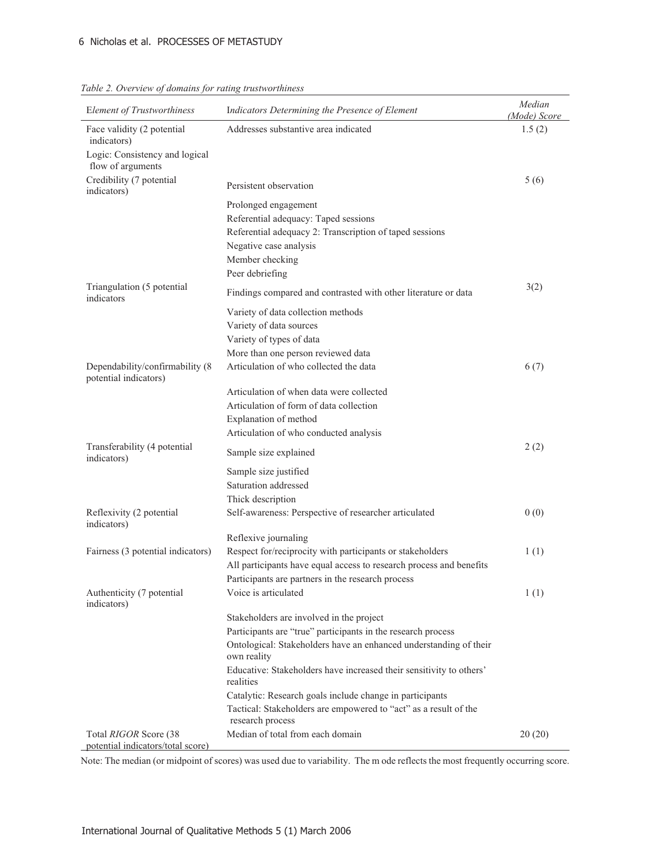#### 6 Nicholas et al. PROCESSES OF METASTUDY

| <b>Element of Trustworthiness</b>                          | Indicators Determining the Presence of Element                                                                                                                                          | Median<br>(Mode) Score |
|------------------------------------------------------------|-----------------------------------------------------------------------------------------------------------------------------------------------------------------------------------------|------------------------|
| Face validity (2 potential<br>indicators)                  | Addresses substantive area indicated                                                                                                                                                    | 1.5(2)                 |
| Logic: Consistency and logical<br>flow of arguments        |                                                                                                                                                                                         |                        |
| Credibility (7 potential<br>indicators)                    | Persistent observation                                                                                                                                                                  | 5(6)                   |
|                                                            | Prolonged engagement<br>Referential adequacy: Taped sessions<br>Referential adequacy 2: Transcription of taped sessions<br>Negative case analysis<br>Member checking<br>Peer debriefing |                        |
| Triangulation (5 potential<br>indicators                   | Findings compared and contrasted with other literature or data                                                                                                                          | 3(2)                   |
|                                                            | Variety of data collection methods<br>Variety of data sources<br>Variety of types of data<br>More than one person reviewed data                                                         |                        |
| Dependability/confirmability (8<br>potential indicators)   | Articulation of who collected the data                                                                                                                                                  | 6(7)                   |
|                                                            | Articulation of when data were collected<br>Articulation of form of data collection<br>Explanation of method<br>Articulation of who conducted analysis                                  |                        |
| Transferability (4 potential<br>indicators)                | Sample size explained                                                                                                                                                                   | 2(2)                   |
|                                                            | Sample size justified<br>Saturation addressed<br>Thick description                                                                                                                      |                        |
| Reflexivity (2 potential<br>indicators)                    | Self-awareness: Perspective of researcher articulated                                                                                                                                   | 0(0)                   |
| Fairness (3 potential indicators)                          | Reflexive journaling<br>Respect for/reciprocity with participants or stakeholders                                                                                                       | 1(1)                   |
|                                                            | All participants have equal access to research process and benefits<br>Participants are partners in the research process                                                                |                        |
| Authenticity (7 potential<br>indicators)                   | Voice is articulated                                                                                                                                                                    | 1(1)                   |
|                                                            | Stakeholders are involved in the project                                                                                                                                                |                        |
|                                                            | Participants are "true" participants in the research process<br>Ontological: Stakeholders have an enhanced understanding of their                                                       |                        |
|                                                            | own reality                                                                                                                                                                             |                        |
|                                                            | Educative: Stakeholders have increased their sensitivity to others'<br>realities                                                                                                        |                        |
|                                                            | Catalytic: Research goals include change in participants<br>Tactical: Stakeholders are empowered to "act" as a result of the<br>research process                                        |                        |
| Total RIGOR Score (38<br>potential indicators/total score) | Median of total from each domain                                                                                                                                                        | 20(20)                 |

*Table 2. Overview of domains for rating trustworthiness*

Note: The median (or midpoint of scores) was used due to variability. The m ode reflects the most frequently occurring score.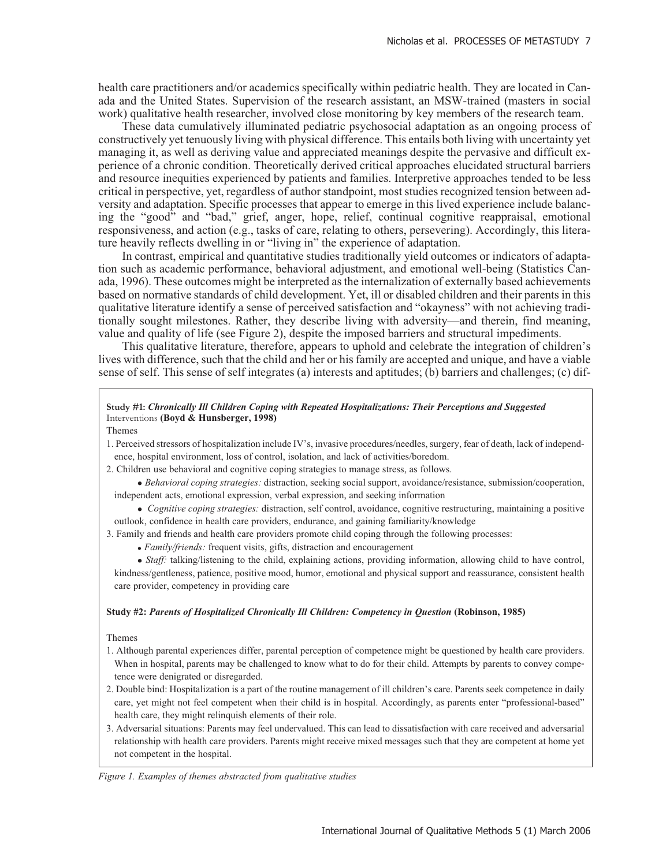health care practitioners and/or academics specifically within pediatric health. They are located in Canada and the United States. Supervision of the research assistant, an MSW-trained (masters in social work) qualitative health researcher, involved close monitoring by key members of the research team.

These data cumulatively illuminated pediatric psychosocial adaptation as an ongoing process of constructively yet tenuously living with physical difference. This entails both living with uncertainty yet managing it, as well as deriving value and appreciated meanings despite the pervasive and difficult experience of a chronic condition. Theoretically derived critical approaches elucidated structural barriers and resource inequities experienced by patients and families. Interpretive approaches tended to be less critical in perspective, yet, regardless of author standpoint, most studies recognized tension between adversity and adaptation. Specific processes that appear to emerge in this lived experience include balancing the "good" and "bad," grief, anger, hope, relief, continual cognitive reappraisal, emotional responsiveness, and action (e.g., tasks of care, relating to others, persevering). Accordingly, this literature heavily reflects dwelling in or "living in" the experience of adaptation.

In contrast, empirical and quantitative studies traditionally yield outcomes or indicators of adaptation such as academic performance, behavioral adjustment, and emotional well-being (Statistics Canada, 1996). These outcomes might be interpreted as the internalization of externally based achievements based on normative standards of child development. Yet, ill or disabled children and their parents in this qualitative literature identify a sense of perceived satisfaction and "okayness" with not achieving traditionally sought milestones. Rather, they describe living with adversity—and therein, find meaning, value and quality of life (see Figure 2), despite the imposed barriers and structural impediments.

This qualitative literature, therefore, appears to uphold and celebrate the integration of children's lives with difference, such that the child and her or his family are accepted and unique, and have a viable sense of self. This sense of self integrates (a) interests and aptitudes; (b) barriers and challenges; (c) dif-

#### **Study #1:** *Chronically Ill Children Coping with Repeated Hospitalizations: Their Perceptions and Suggested* Interventions **(Boyd & Hunsberger, 1998)**

Themes

- 1. Perceived stressors of hospitalization include IV's, invasive procedures/needles, surgery, fear of death, lack of independence, hospital environment, loss of control, isolation, and lack of activities/boredom.
- 2. Children use behavioral and cognitive coping strategies to manage stress, as follows.

 *Behavioral coping strategies:* distraction, seeking social support, avoidance/resistance, submission/cooperation, independent acts, emotional expression, verbal expression, and seeking information

 *Cognitive coping strategies:* distraction, self control, avoidance, cognitive restructuring, maintaining a positive outlook, confidence in health care providers, endurance, and gaining familiarity/knowledge

3. Family and friends and health care providers promote child coping through the following processes:

*Family/friends:* frequent visits, gifts, distraction and encouragement

 *Staff:* talking/listening to the child, explaining actions, providing information, allowing child to have control, kindness/gentleness, patience, positive mood, humor, emotional and physical support and reassurance, consistent health care provider, competency in providing care

#### **Study #2:** *Parents of Hospitalized Chronically Ill Children: Competency in Question* **(Robinson, 1985)**

Themes

- 1. Although parental experiences differ, parental perception of competence might be questioned by health care providers. When in hospital, parents may be challenged to know what to do for their child. Attempts by parents to convey competence were denigrated or disregarded.
- 2. Double bind: Hospitalization is a part of the routine management of ill children's care. Parents seek competence in daily care, yet might not feel competent when their child is in hospital. Accordingly, as parents enter "professional-based" health care, they might relinquish elements of their role.
- 3. Adversarial situations: Parents may feel undervalued. This can lead to dissatisfaction with care received and adversarial relationship with health care providers. Parents might receive mixed messages such that they are competent at home yet not competent in the hospital.

*Figure 1. Examples of themes abstracted from qualitative studies*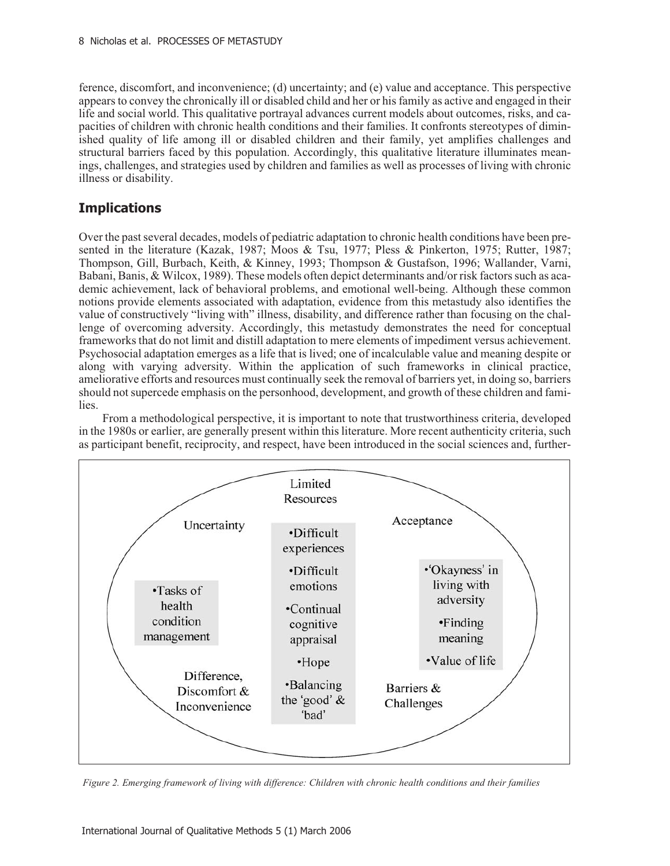ference, discomfort, and inconvenience; (d) uncertainty; and (e) value and acceptance. This perspective appears to convey the chronically ill or disabled child and her or his family as active and engaged in their life and social world. This qualitative portrayal advances current models about outcomes, risks, and capacities of children with chronic health conditions and their families. It confronts stereotypes of diminished quality of life among ill or disabled children and their family, yet amplifies challenges and structural barriers faced by this population. Accordingly, this qualitative literature illuminates meanings, challenges, and strategies used by children and families as well as processes of living with chronic illness or disability.

# **Implications**

Over the past several decades, models of pediatric adaptation to chronic health conditions have been presented in the literature (Kazak, 1987; Moos & Tsu, 1977; Pless & Pinkerton, 1975; Rutter, 1987; Thompson, Gill, Burbach, Keith, & Kinney, 1993; Thompson & Gustafson, 1996; Wallander, Varni, Babani, Banis, & Wilcox, 1989). These models often depict determinants and/or risk factors such as academic achievement, lack of behavioral problems, and emotional well-being. Although these common notions provide elements associated with adaptation, evidence from this metastudy also identifies the value of constructively "living with" illness, disability, and difference rather than focusing on the challenge of overcoming adversity. Accordingly, this metastudy demonstrates the need for conceptual frameworks that do not limit and distill adaptation to mere elements of impediment versus achievement. Psychosocial adaptation emerges as a life that is lived; one of incalculable value and meaning despite or along with varying adversity. Within the application of such frameworks in clinical practice, ameliorative efforts and resources must continually seek the removal of barriers yet, in doing so, barriers should not supercede emphasis on the personhood, development, and growth of these children and families.

From a methodological perspective, it is important to note that trustworthiness criteria, developed in the 1980s or earlier, are generally present within this literature. More recent authenticity criteria, such as participant benefit, reciprocity, and respect, have been introduced in the social sciences and, further-



*Figure 2. Emerging framework of living with difference: Children with chronic health conditions and their families*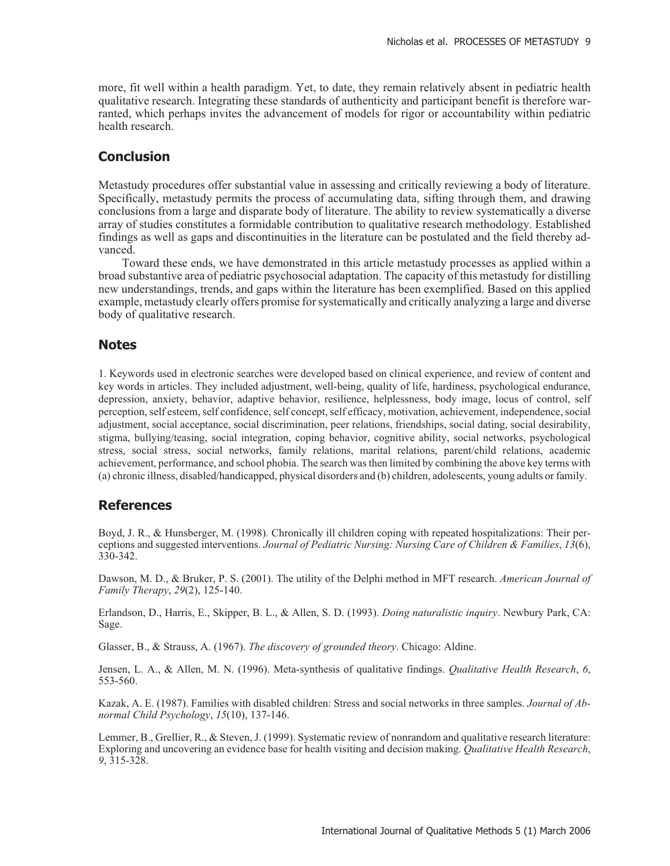more, fit well within a health paradigm. Yet, to date, they remain relatively absent in pediatric health qualitative research. Integrating these standards of authenticity and participant benefit is therefore warranted, which perhaps invites the advancement of models for rigor or accountability within pediatric health research.

# **Conclusion**

Metastudy procedures offer substantial value in assessing and critically reviewing a body of literature. Specifically, metastudy permits the process of accumulating data, sifting through them, and drawing conclusions from a large and disparate body of literature. The ability to review systematically a diverse array of studies constitutes a formidable contribution to qualitative research methodology. Established findings as well as gaps and discontinuities in the literature can be postulated and the field thereby advanced.

Toward these ends, we have demonstrated in this article metastudy processes as applied within a broad substantive area of pediatric psychosocial adaptation. The capacity of this metastudy for distilling new understandings, trends, and gaps within the literature has been exemplified. Based on this applied example, metastudy clearly offers promise for systematically and critically analyzing a large and diverse body of qualitative research.

#### **Notes**

1. Keywords used in electronic searches were developed based on clinical experience, and review of content and key words in articles. They included adjustment, well-being, quality of life, hardiness, psychological endurance, depression, anxiety, behavior, adaptive behavior, resilience, helplessness, body image, locus of control, self perception, self esteem, self confidence, self concept, self efficacy, motivation, achievement, independence, social adjustment, social acceptance, social discrimination, peer relations, friendships, social dating, social desirability, stigma, bullying/teasing, social integration, coping behavior, cognitive ability, social networks, psychological stress, social stress, social networks, family relations, marital relations, parent/child relations, academic achievement, performance, and school phobia. The search was then limited by combining the above key terms with (a) chronic illness, disabled/handicapped, physical disorders and (b) children, adolescents, young adults or family.

## **References**

Boyd, J. R., & Hunsberger, M. (1998). Chronically ill children coping with repeated hospitalizations: Their perceptions and suggested interventions. *Journal of Pediatric Nursing: Nursing Care of Children & Families*, *13*(6), 330-342.

Dawson, M. D., & Bruker, P. S. (2001). The utility of the Delphi method in MFT research. *American Journal of Family Therapy*, *29*(2), 125-140.

Erlandson, D., Harris, E., Skipper, B. L., & Allen, S. D. (1993). *Doing naturalistic inquiry*. Newbury Park, CA: Sage.

Glasser, B., & Strauss, A. (1967). *The discovery of grounded theory*. Chicago: Aldine.

Jensen, L. A., & Allen, M. N. (1996). Meta-synthesis of qualitative findings. *Qualitative Health Research*, *6*, 553-560.

Kazak, A. E. (1987). Families with disabled children: Stress and social networks in three samples. *Journal of Abnormal Child Psychology*, *15*(10), 137-146.

Lemmer, B., Grellier, R., & Steven, J. (1999). Systematic review of nonrandom and qualitative research literature: Exploring and uncovering an evidence base for health visiting and decision making. *Qualitative Health Research*, *9*, 315-328.